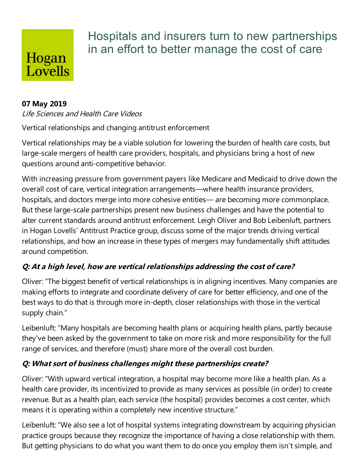## Hogan Lovells

### Hospitals and insurers turn to new partnerships in an effort to better manage the cost of care

#### **07 May 2019**

#### Life Sciences and Health Care Videos

Vertical relationships and changing antitrust enforcement

Vertical relationships may be a viable solution for lowering the burden of health care costs, but large-scale mergers of health care providers, hospitals, and physicians bring a host of new questions around anti-competitive behavior.

With increasing pressure from government payers like Medicare and Medicaid to drive down the overall cost of care, vertical integration arrangements—where health insurance providers, hospitals, and doctors merge into more cohesive entities— are becoming more commonplace. But these large-scale partnerships present new business challenges and have the potential to alter current standards around antitrust enforcement. Leigh Oliver and Bob Leibenluft, partners in Hogan Lovells' Antitrust Practice group, discuss some of the major trends driving vertical relationships, and how an increase in these types of mergers may fundamentally shift attitudes around competition.

#### **Q: At <sup>a</sup> high level, how are vertical relationships addressing the cost ofcare?**

Oliver: "The biggest benefit of vertical relationships is in aligning incentives.Many companies are making efforts to integrate and coordinate delivery of care for better efficiency, and one of the best ways to do that is through more in-depth, closer relationships with those in the vertical supply chain."

Leibenluft: "Many hospitals are becoming health plans or acquiring health plans, partly because they've been asked by the government to take on more risk and more responsibility for the full range of services, and therefore (must) share more of the overall cost burden.

#### **Q: What sort of businesschallenges might these partnershipscreate?**

Oliver: "With upward vertical integration, a hospital may become more like a health plan. As a health care provider, its incentivized to provide as many services as possible (in order) to create revenue. But as a health plan, each service (the hospital) provides becomes a cost center, which means it is operating within a completely new incentive structure."

Leibenluft: "We also see a lot of hospital systems integrating downstream by acquiring physician practice groups because they recognize the importance of having a close relationship with them. But getting physicians to do what you want them to do once you employ them isn't simple, and